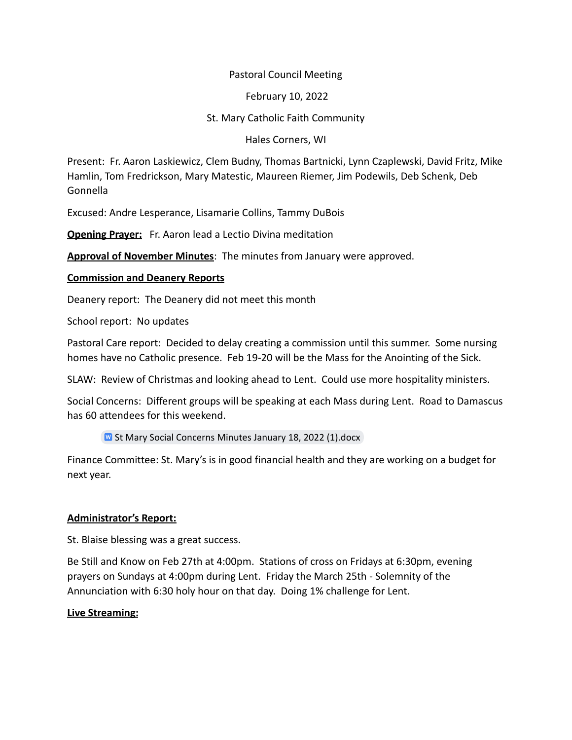## Pastoral Council Meeting

February 10, 2022

### St. Mary Catholic Faith Community

Hales Corners, WI

Present: Fr. Aaron Laskiewicz, Clem Budny, Thomas Bartnicki, Lynn Czaplewski, David Fritz, Mike Hamlin, Tom Fredrickson, Mary Matestic, Maureen Riemer, Jim Podewils, Deb Schenk, Deb Gonnella

Excused: Andre Lesperance, Lisamarie Collins, Tammy DuBois

**Opening Prayer:** Fr. Aaron lead a Lectio Divina meditation

**Approval of November Minutes**: The minutes from January were approved.

### **Commission and Deanery Reports**

Deanery report: The Deanery did not meet this month

School report: No updates

Pastoral Care report: Decided to delay creating a commission until this summer. Some nursing homes have no Catholic presence. Feb 19-20 will be the Mass for the Anointing of the Sick.

SLAW: Review of Christmas and looking ahead to Lent. Could use more hospitality ministers.

Social Concerns: Different groups will be speaking at each Mass during Lent. Road to Damascus has 60 attendees for this weekend.

**W** St Mary Social [Concerns](https://docs.google.com/document/d/1eWF-gjmgsjNogZJka641LUqwNYhz7khL/edit?usp=sharing&ouid=101062603316395594027&rtpof=true&sd=true) Minutes January 18, 2022 (1).docx

Finance Committee: St. Mary's is in good financial health and they are working on a budget for next year.

### **Administrator's Report:**

St. Blaise blessing was a great success.

Be Still and Know on Feb 27th at 4:00pm. Stations of cross on Fridays at 6:30pm, evening prayers on Sundays at 4:00pm during Lent. Friday the March 25th - Solemnity of the Annunciation with 6:30 holy hour on that day. Doing 1% challenge for Lent.

### **Live Streaming:**